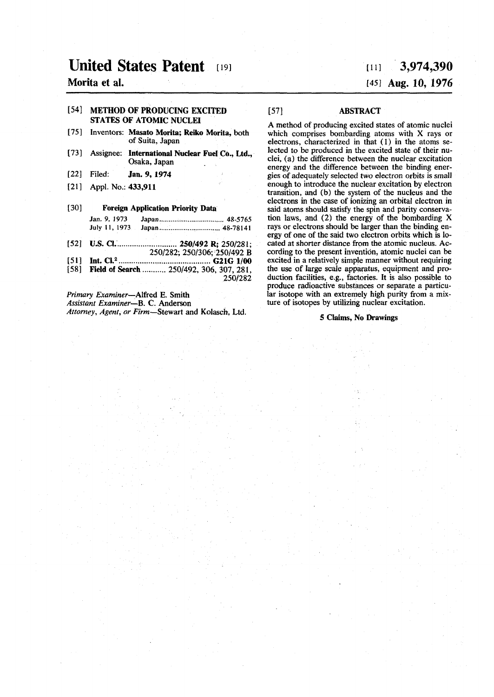# **United States Patent [19]**

# **Morita et al.**

## **[54] METHOD OF PRODUCING EXCITED STATES OF ATOMIC NUCLEI**

- **[75] Inventors: Masato Morita; Reiko Morita, both of Suita, Japan**
- **[73] Assignee: International Nuclear Fuel Co., Ltd., Osaka, Japan**
- **[22] Filed: Jan. 9, 1974**
- **[21] Appl. No.: 433,911**

## **[30] Foreign Application Priority Data**

*Jan.* **9, 1973 Japan 48-5765 July 11, 1973 Japan 48-78141** 

- **[52] U.S. CI. 250/492 R; 250/281;**
- **250/282; 250/306; 250/492 B**
- **[51] Int. CI.<sup>2</sup> G21G1/0 0**  [58] **Field of Search ........... 250/492, 306, 307, 281,**
- **250/282**

*Primary Examiner—Alfred* **E. Smith** 

*Assistant Examiner—* **B. C. Anderson**  *Attorney, Agent, or Firm***—Stewart and Kolasch, Ltd.** 

# **[li] 3,974,390 [45] Aug. 10, 1976**

### **[57] ABSTRACT**

**A method of producing excited states of atomic nuclei which comprises bombarding atoms with X rays or electrons, characterized in that (1) in the atoms selected to be produced in the excited state of their nuclei, (a) the difference between the nuclear excitation energy and the difference between the binding energies of adequately selected two electron orbits is small enough to introduce the nuclear excitation by electron transition, and (b) the system of the nucleus and the electrons in the case of ionizing an orbital electron in said atoms should satisfy the spin and parity conservation laws, and (2) the energy of the bombarding X rays or electrons should be larger than the binding energy of one of the said two electron orbits which is located at shorter distance from the atomic nucleus. According to the present invention, atomic nuclei can be excited in a relatively simple manner without requiring the use of large scale apparatus, equipment and production facilities, e.g., factories. It is also possible to produce radioactive substances or separate a particular isotope with an extremely high purity from a mixture of isotopes by utilizing nuclear excitation.** 

**5 Claims, No Drawings**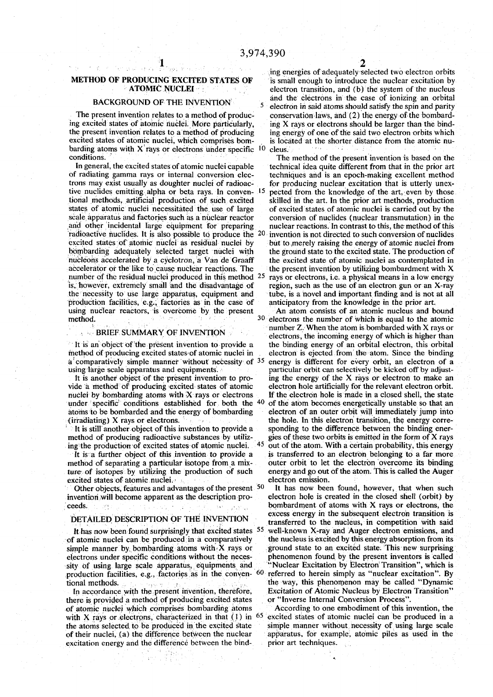barding atoms with X rays or electrons under specific <sup>1</sup>

tional methods, artificial production of such excited bombarding adequately selected target nuclei with nucleons accelerated by a cyclotron a Van de Graaff **number of the residual nuclei produced in this method 2 5** is, however, extremely small and the disadvantage of the necessity to use large apparatus, equipment and **production facilities, e.g., factories as in the case of anticipatory from the knowledge in the prior art.**  using nuclear reactors, is overcome by the present **method. 3 0**

### **E BRIEF SUMMARY OF INVENTION**

**a'comparatively simple manner without necessity of 3 5 using large scale apparatus and equipments.**

nuclei by bombarding atoms with X rays or electrons **under specific conditions established for both the 4 0** atoms to be bombarded and the energy of bombarding (irradiating) X rays or electrons.

method of producing radioactive substances by utiliz**ing the production of excited states of atomic nuclei. 4 5**

method of separating a particular isotope from a mixexcited states of atomic nuclei.

**Other objects, features and advantages of the present 5 0** invention will become apparent as the description pro**ceeds.** *ceeds.* **<b>***ceeds. ceeds. ceeds.* **<b>***ceeds. combardment of atoms with X rays or electrons, the* 

#### **DETAILED DESCRIPTION OF THE INVENTION**

**ft has now been found surprisingly that excited states 5 5** of atomic nuclei can be produced in a comparatively simple manner by bombarding atoms with X rays or ground state to an excited state. This new surprising electrons under specific conditions without the neces-<br>phenomenon found by the present inventors is called electrons under specific conditions without the neces-**•sity Of using large scale apparatus, equipments and "Nuclear Excitation by Electron'Transition", which is production facilities, e.g., factories as in the; conven- 6 0**

In accordance with the present invention, therefore, Excitation of Atomic Nucleus by Electron Process<sup>1</sup> **Containery Internal Conversion Process**<sup>1</sup> *Containery and the producing excited states Converse Internal Con* there is provided a method of producing excited states with X rays or electrons, characterized in that (1) in <sup>6</sup> of their nuclei, (a) the difference between the nuclear **excitation energy and the difference between the bind- prior art techniques.** 

**i 2 ing energies of adequately selected two electron orbits METHOD OF PRODUCING EXCITED STATES OF** is small enough to introduce the nuclear excitation by **ATOMIC NUCLEI** electron transition, and (b) the system of the nucleus electron transition, and (b) the system of the nucleus and the electrons in the case of ionizing an orbital **natural manufacture in the case of ionizing an orbital BACKGROUND OF THE INVENTION**  $\frac{1}{2}$  **and the electron in said atoms should satisfy the spin and parity** conservation laws, and (2) the energy of the bombard-The present invention relates to a method of produc-<br>
ing X rays or electrons should be larger than the bind-<br>
ing X rays or electrons should be larger than the bindthe present invention relates to a method of producing ing energy of one of the said two electron orbits which excited states of atomic nuclei, which comprises bom- is located at the shorter distance from the atomic nubarding stome with  $X$  rays or electrons under specific  $\begin{bmatrix} 0 \\ 0 \end{bmatrix}$  along

**cleus.** The method of the present invention is based on the conditions.<br>In general, the excited states of atomic nuclei capable<br>In general, the excited states of atomic nuclei capable<br>technical idea quite different from that in the prior art of radiating gamma rays or internal conversion elec-<br>techniques and is an epoch-making excellent method trons may exist usually as doughter nuclei of radioac- for producing nuclear excitation that is utterly unextive nuclides emitting alpha or beta rays. In conven- <sup>15</sup> pected from the knowledge of the art, even by those  **pected from the knowledge of the art, even by those**  states of atomic nuclei necessitated the use of large of excited states of atomic nuclei is carried out by the scale apparatus and factories such as a nuclear reactor conversion of nuclides (nuclear transmutation) in the and other incidental large equipment for preparing nuclear reactions. In contrast to this, the method of this and other incidental large equipment for preparing nuclear reactions. In contrast to this, the method of this **has radioactive nuclides. It is also possible to produce the 20 invention is not directed to such conversion of nuclides**  excited states of atomic nuclei as residual nuclei by but to merely raising the energy of atomic nuclei from bombarding adequately selected target nuclei with the ground state to the excited state. The production of hucleons accelerated by a cyclotron, a Van de Graaff the excited state of atomic nuclei as contemplated in accelerator or the like to cause nuclear reactions. The the present invention by utilizing bombardment with X **the present invention by utilizing bombardment with X rays or electrons, i.e. a physical means in a low energy**  tube, is a novel and important finding and is not at all anticipatory from the knowledge in the prior art.

<sup>30</sup> electrons the number of which is equal to the atomic number Z. When the atom is bombarded with X rays or **BRIEF SUMMARY OF INVENTION** electrons, the incoming energy of which is higher than It is an object of the present invention to provide a the binding energy of an orbital electron, this orbital the binding energy of an orbital electron, this orbital **method of producing excited states'of atomic nuclei in electron is ejected .from the atom. Since the binding energy is different for every orbit, an electron of a**  particular orbit can selectively be kicked off by adjusting the energy of the X rays or electron to make an It is another object of the present invention to pro-<br>de a method of producing excited states of atomic electron hole artificially for the relevant electron orbit. vide a method of producing excited states of atomic electron hole artificially for the relevant electron orbit, nuclei by bombarding atoms with X rays or electrons **If** the electron hole is made in a closed shell, the stat  **of the atom becomes energetically unstable so that an**  the hole. In this electron transition, the energy corre-It is still another object of this invention to provide a sponding to the difference between the binding ener-<br>
lethod of producing radioactive substances by utiliz- gies of these two orbits is emitted in the form of X ray  **out of the atom. With a certain probability , this energy It is a further object of this invention to provide a is transferred to an electron belonging to a far more ture of isotopes by utilizing the production of such energy and go out of the atom. This is called the Auger electron emission.** 

It has now been found, however, that when such electron hole is created in the closed shell (orbit) by excess energy in the subsequent electron transition is transferred to the nucleus, in competition with said well-known X-ray and Auger electron emissions, and the nucleus is excited by this energy absorption from its  **referred to herein simply as "nuclear excitation". By**  tional methods.<br>
In accordance with the present invention, therefore. Excitation of Atomic Nucleus by Electron Transition"

**of atomic nuclei which comprises bombarding atoms According to one embodiment of this invention, the excited states of atomic nuclei can be produced in a the atoms selected, to be produced in the excited state simple manner without necessity of using large scale**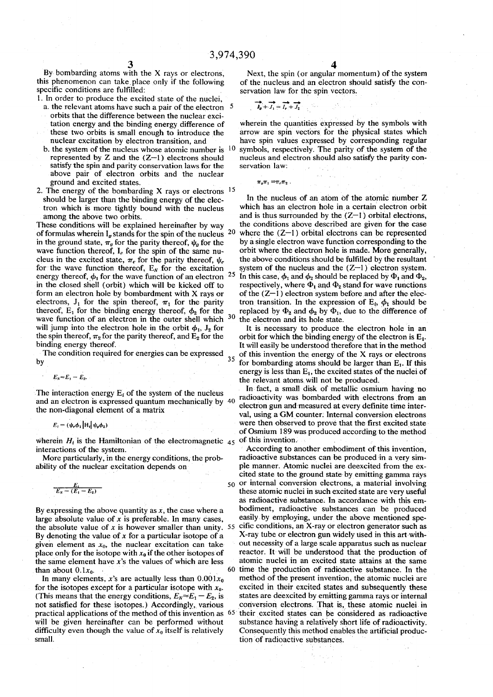**By bombarding atoms with the X rays or electrons, this phenomenon can take place only if the following specific conditions are fulfilled:** 

**1. In order to produce the excited state of the nuclei,** 

- **a. the relevant atoms have such a pair of the electron 5 orbits that the difference between the nuclear excitation energy and the binding energy difference of**
- **these two orbits is small enough to introduce the nuclear excitation by electron transition, and b. the system of the nucleus whose atomic number is**
- **represented by Z and the (Z—1) electrons should satisfy the spin and parity conservation laws for the above pair of electron orbits and the nuclear ground and excited states.**
- **2. The energy of the bombarding X rays or electrons 1 5 should be larger than the binding energy of the electron which is more tightly bound with the nucleus among the above two orbits.**

**These conditions will be explained hereinafter by way of formulas wherein la stands for the spin of the nucleus 2 0**  in the ground state,  $\pi_g$  for the parity thereof,  $\psi_g$  for the wave function thereof, I<sub>e</sub> for the spin of the same nucleus in the excited state,  $\pi_e$  for the parity thereof,  $\psi_e$ for the wave function thereof,  $E_N$  for the excitation energy thereof,  $\phi_1$  for the wave function of an electron  **2 5 in the closed shell (orbit) which will be kicked off to form an electron hole by bombardment with X rays or**  electrons,  $J_1$  for the spin thereof,  $\pi_1$  for the parity thereof,  $E_1$  for the binding energy thereof,  $\phi_2$  for the **wave function of an electron in the outer shell which 3 0**  will jump into the electron hole in the orbit  $\phi_1$ ,  $J_2$  for the spin thereof,  $\pi_2$  for the parity thereof, and  $E_2$  for the **binding energy thereof.** 

**The condition required for energies can be expressed by 35** 

$$
E_N\!\approx\!E_1-E_2.
$$

The interaction energy  $E_i$  of the system of the nucleus **and an electron is expressed quantum mechanically by 40 the non-diagonal element of a matrix** 

$$
E_i = (\psi_e \phi_1 | \mathbf{H}_i | \psi_a \phi_2)
$$

wherein  $H_i$  is the Hamiltonian of the electromagnetic  $\overline{45}$ **interactions of the system.** 

**More particularly, in the energy conditions, the probability of the nuclear excitation depends on** 

$$
\frac{E_i}{E_N-(E_1-E_2)}
$$

**By expressing the above quantity as** *x,* **the case where a large absolute value of** *x* **is preferable. In many cases,**  the absolute value of  $x$  is however smaller than unity.  $55$ **By denoting the value of** *x* **for a particular isotope of a given element as** *x0,* **the nuclear excitation can take**  place only for the isotope with  $x<sub>0</sub>$  if the other isotopes of **the same element have** *x's* **the values of which are less than about 0.1** $x_0$ .

In many elements, x's are actually less than  $0.001x_0$ for the isotopes except for a particular isotope with  $x_0$ . **(This means that the energy conditions,**  $E_N \approx E_1 - E_2$ **, is not satisfied for these isotopes.) Accordingly, various practical applications of the method of this invention as 6 5 will be given hereinafter can be performed without**  difficulty even though the value of  $x<sub>0</sub>$  itself is relatively **small.** 

**Next, the spin (or angular momentum) of the system**  of the nucleus and an electron should satisfy the con**servation law for the spin vectors.** 

$$
\overrightarrow{I_0} + \overrightarrow{J_1} = \overrightarrow{I_0} + \overrightarrow{J_2}
$$

**wherein the quantities expressed by the symbols with arrow are spin vectors for the physical states which have spin values expressed by corresponding regular symbols, respectively. The parity of the system of the nucleus and electron should also satisfy the parity conservation law:** 

 $\pi_{g}\pi_{1} = \pi_{e}\pi_{2}$ .

**In the nucleus of an atom of the atomic number Z which has an electron hole in a certain electron orbit and is thus surrounded by the (Z—l ) orbital electrons, the conditions above described are given for the case where the (Z—l) orbital electrons can be represented by a single electron wave function corresponding to the orbit where the electron hole is made. More generally, the above conditions should be fulfilled by the resultant system of the nucleus and the (Z—l) electron system.**  In this case,  $\phi_1$  and  $\phi_2$  should be replaced by  $\Phi_1$  and  $\Phi_2$ , respectively, where  $\Phi_1$  and  $\Phi_2$  stand for wave runctions **of the (Z—l) electron system before and after the elec**tron transition. In the expression of  $E_i$ ,  $\phi_i$  should be replaced by  $\Phi_2$  and  $\phi_2$  by  $\Phi_1$ , due to the difference of **the electron and its hole state.** 

**It is necessary to produce the electron hole in an orbit for which the binding energy of the electron is Ej. It will easily be understood therefore that in the method of this invention the energy of the X rays or electrons for bombarding atoms should be larger than E,. If this**  energy is less than  $E_1$ , the excited states of the nuclei of **the relevant atoms will not be produced.** 

**In fact, a small disk of metallic osmium having no radioactivity was bombarded with electrons from an electron gun and measured at every definite time interval, using a GM counter; Internal conversion electrons were then observed to prove that the first excited state of Osmium 189 was produced according to the method of this invention.** 

**50 or internal conversion electrons, a material involving According to another embodiment of this invention, radioactive substances can be produced in a very simple manner. Atomic nuclei are deexcited from the excited state to the ground state by emitting gamma rays these atomic nuclei in such excited state are very useful as radioactive substance. In accordance with this embodiment, radioactive substances can be produced easily by employing, under the above mentioned specific conditions, an X-ray or electron generator such as X-ray tube or electron gun widely used in this art without necessity of a large scale apparatus such as nuclear reactor. It will be understood that the production of atomic nuclei in an excited state attains at the same time the production of radioactive substance. In the method of the present invention, the atomic nuclei are excited in their excited states and subsequently these states are deexcited by emitting gamma rays or internal conversion electrons. That is, these atomic nuclei in their excited states can be considered as radioactive substance having a relatively short life of radioactivity. Consequently this method enables the artificial production of radioactive substances.**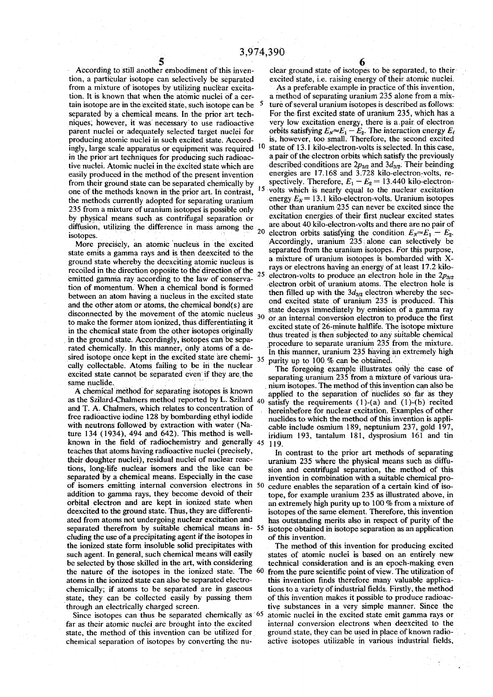**5**<br>According to still another embodiment of this inven-<br>clear ground state of isotope **tion, a particular isotope can selectively be separated excited state, i.e. raising energy of their atomic nuclei,**  from a mixture of isotopes by utilizing nuclear excita**tain isotope are in the excited state, such isotope can be ingly, large scale apparatus or equipment was required 1 0** in the prior art techniques for producing such radioacfrom their ground state can be separated chemically by  $\frac{15}{2}$ **one of the methods known in the prior art. In contrast,** 235 from a mixture of uranium isotopes is possible only **diffusion, utilizing the difference in mass among the** <sup>20</sup> **isotopes 2 0**

state emits a gamma rays and is then deexcited to the **ground state whereby the deexciting atomic nucleus is** recoiled in the direction opposite to the direction of the  $25$  elements of conservative  $\frac{125}{25}$ **emitted gamma ray according to the law of conserva tion of momentum. When a chemical bond is formed between an atom having a nucleus in the excited state and the other atom or atoms, the chemical bond(s) are** in the chemical state from the other isotopes originally **sired isotope once kept in the excited state are chemi-**  $35$ cally collectable. Atoms failing to be in the nuclear excited state cannot be separated even if they are the  **F** excited state cannot be separated even if they are the separating uranium 235 from a mixture of various ura-<br>
same nuclide.<br> **Exame nuclide.** 

A chemical method for separating isotopes is known<br>applied to the separation of nuclides so far as they as the Szilard-Chalmers method reported by L. Szilard 40 satisfy the requirements (1)-(a) and (1)-(b) recited and T. A. Chalmers, which relates to concentration of hereinbefore for nuclear excitation. Examples of other free radioactive iodine 128 by bombarding ethyl iodide nuclides to which the method of this invention is anni**free radioactive iodine 128 by bombarding ethyl iodide**<br> **i** nuclides to which the method of this invention is appli-<br>
with neutrons followed by extraction with water (Na-<br>
cable include osmium 189 nentunium 237 gold 197 with neutrons followed by extraction with water (Na-<br>
ture 134 (1934), 494 and 642). This method is well-<br>
iridium 193 tantalum 181, dysprosium 161 and tin known in the field of radiochemistry and generally 45 <sup>H</sup><sub>119</sub>. teaches that atoms having radioactive nuclei (precisely, **In** contrast to the prior art methods of separating **their doughter nuclei), residual nuclei of nuclear reac- uranium 235 where the physical means such as diffutions, long-life nuclear isomers and the like can be sion and centrifugal separation, the method of this separated by a chemical means. Especially in the case <b>invention in combination with a suitable chemical proof isomers emitting internal conversion electrons in 50 cedure enables the separation of a certain kind of isoaddition to gamma rays, they become devoid of their tope, for example uranium 235 as illustrated above, in orbital electron and are kept in ionized state when an extremely high purity up to 100 % from a mixture of deexcited to the ground state. Thus, they are differenti- isotopes of the same element. Therefore, this invention ated from atoms not undergoing nuclear excitation and has outstanding merits also in respect of purity of the separated therefrom by suitable chemical means in- 55 isotope obtained in isotope separation as an application eluding the use of a precipitating agent if the isotopes in of this invention.**  the ionized state form insoluble solid precipitates with The method of this invention for producing excited such agent. In general, such chemical means will easily states of atomic nuclei is based on an entirely new **be selected by those skilled in the art, with considering technical consideration and is an epoch-making even** the nature of the isotopes in the ionized state. The <sup>60</sup> from the pure scientific point of view. The utilization of atoms in the ionized state can also be separated electro-<br>chemically; if atoms to be separated are in gaseous tions to a variety of industrial fields. Firstly, the method state, they can be collected easily by passing them

far as their atomic nuclei are brought into the excited **state, the method of this invention can be utilized for ground state, they can be used in place of known radiochemical separation of isotopes by converting the nu- active isotopes Utilizable in various industrial fields,** 

clear ground state of isotopes to be separated, to their <sup>c</sup>

**tion. It is known that when the atomic nuclei of a cer- a method of separating uranium 235 alone from a mix-<sup>5</sup> ture of several uranium isotopes is described as follows:**  separated by a chemical means. In the prior art tech-<br>niques, however, it was necessary to use radioactive very low excitation energy, there is a pair of electron very low excitation energy, there is a pair of electron parent nuclei or adequately selected target nuclei for orbits satisfying  $E_N \approx E_I - E_2$ . The interaction energy  $E_I$ **producing atomic nuclei in such excited state. Accord- is, however, too small. Therefore, the second excited state of 13.1 kilo-electron-volts is selected. In this case,**  tive nuclei. Atomic nuclei in the excited state which are described conditions are  $2p_{3/2}$  and  $3d_{3/2}$ . Their beinding easily produced in the method of the present invention energies are 17.168 and 3.728 kilo-electron **easily produced in the method of the present invention energies are 17.168 and 3.728 kilo-electron-volts, refrom their ground state can be separated chemically by spectively. Therefore,**  $E_1 - E_2 = 13.440$  **kilo-electron-15** volts which is nearly equal to the nuclear excitation the methods currently adopted for separating uranium energy  $E_N = 13.1$  kilo-electron-volts. Uranium isotopes **other than uranium 235 can never be excited since the by physical means such as contrifugal separation or** excitation energies of their first nuclear excited states diffusion utilizing the difference in mass among the are about 40 kilo-electron-volts and there are no pair of electron orbits satisfying the condition  $E_N \approx E_1 - E_2$ . Accordingly, uranium 235 alone can selectively be More precisely, an atomic nucleus in the excited Accordingly, uranium 235 alone can selectively be a<br>ate emits a gamma rays and is then deexcited to the separated from the uranium isotopes. For this purpose, **a** mixture of uranium isotopes is bombarded with Xrays or electrons having an energy of at least 17.2 kiloelectron-volts to produce an electron hole in the  $2p_{3/2}$ electron orbit of uranium atoms. The electron hole is of manuit atoms. The electron hole is<br>with the 2d alectron whereby the eco**then** illied up with the  $\frac{3d_{3/2}}{2}$  electron whereby the sec**one** exclude state of urallitudity 233 is produced. The decays immediately by emission of a gam if the atomic nucleus and the state decays immediately by emission of a gamma ray state decays immediately by emission of a gamma ray disconnected by the movement of the atomic nucleus  $30$  or an internal conversion electr **or an internal conversion electron to produce the first to make the former atom ionized, thus differentiating it**<br>to make the former atom ionized, thus differentiating, it thus treated is then subjected to any suitable chemical in the ground state. Accordingly, isotopes can be sepa-<br>
rated chemically. In this manner, only atoms of a de-<br>
procedure to separate uranium 235 from the manner was transluping<br>
in this manner uranium 235 houne an extreme In this manner, uranium 235 having an extremely high purity up to 100 % can be obtained.

The foregoing example illustrates only the case of me nuclide.<br>A chemical method for separating isotopes is known annual to the senaration of nuclides so far as they satisfy the requirements (1)-(a) and (1)-(b) recited  $i$ ridium 193, tantalum 181, dysprosium 161 and tin

invention in combination with a suitable chemical pro-

states of atomic nuclei is based on an entirely new **chemically** is a variety of industrial fields. Firstly, the method of this invention makes it possible to produce radioac**through an electrically charged screen. tive substances in a very simple manner. Since the**  Since isotopes can thus be separated chemically as <sup>65</sup> atomic nuclei in the excited state emit gamma rays or <br>In as their atomic nuclei are brought into the excited internal conversion electrons when deexcited to the